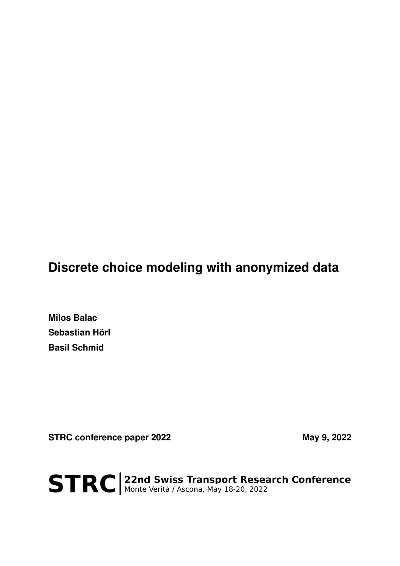# **Discrete choice modeling with anonymized data**

**Milos Balac Sebastian Hörl Basil Schmid**

STRC conference paper 2022 May 9, 2022

STRC | 22nd Swiss Transport Research Conference